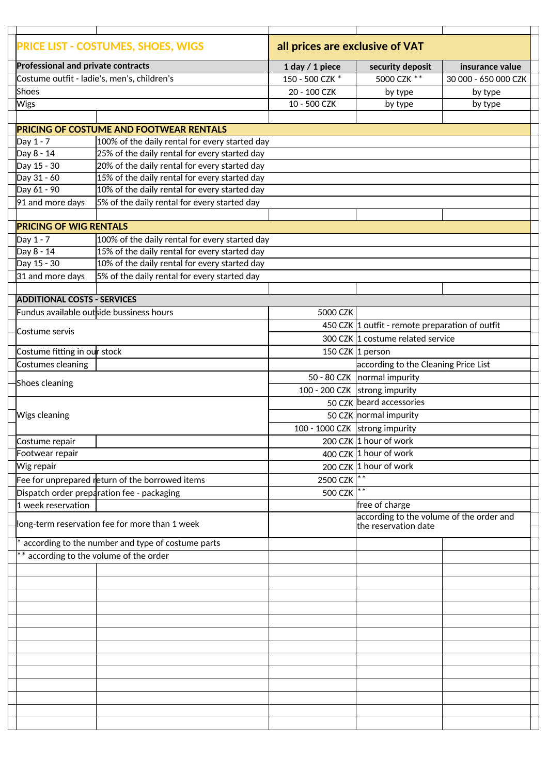|  | <b>PRICE LIST - COSTUMES, SHOES, WIGS</b> |                                                        | all prices are exclusive of VAT |                                                                  |                      |  |
|--|-------------------------------------------|--------------------------------------------------------|---------------------------------|------------------------------------------------------------------|----------------------|--|
|  | <b>Professional and private contracts</b> |                                                        | 1 day / 1 piece                 | security deposit                                                 | insurance value      |  |
|  |                                           | Costume outfit - ladie's, men's, children's            |                                 | 5000 CZK **                                                      | 30 000 - 650 000 CZK |  |
|  | Shoes                                     |                                                        | 20 - 100 CZK                    | by type                                                          | by type              |  |
|  | <b>Wigs</b>                               |                                                        | 10 - 500 CZK                    | by type                                                          | by type              |  |
|  |                                           |                                                        |                                 |                                                                  |                      |  |
|  |                                           | <b>PRICING OF COSTUME AND FOOTWEAR RENTALS</b>         |                                 |                                                                  |                      |  |
|  | Day 1 - 7                                 | 100% of the daily rental for every started day         |                                 |                                                                  |                      |  |
|  | Day 8 - 14                                | 25% of the daily rental for every started day          |                                 |                                                                  |                      |  |
|  | Day 15 - 30                               | 20% of the daily rental for every started day          |                                 |                                                                  |                      |  |
|  | Day 31 - 60                               | 15% of the daily rental for every started day          |                                 |                                                                  |                      |  |
|  | Day 61 - 90                               | 10% of the daily rental for every started day          |                                 |                                                                  |                      |  |
|  | 91 and more days                          | 5% of the daily rental for every started day           |                                 |                                                                  |                      |  |
|  |                                           |                                                        |                                 |                                                                  |                      |  |
|  | <b>PRICING OF WIG RENTALS</b>             |                                                        |                                 |                                                                  |                      |  |
|  | Day 1 - 7                                 | $\vert$ 100% of the daily rental for every started day |                                 |                                                                  |                      |  |
|  | Day 8 - 14                                | 15% of the daily rental for every started day          |                                 |                                                                  |                      |  |
|  | Day 15 - 30                               | 10% of the daily rental for every started day          |                                 |                                                                  |                      |  |
|  | 31 and more days                          | 5% of the daily rental for every started day           |                                 |                                                                  |                      |  |
|  | <b>ADDITIONAL COSTS - SERVICES</b>        |                                                        |                                 |                                                                  |                      |  |
|  | Fundus available outside bussiness hours  |                                                        | 5000 CZK                        |                                                                  |                      |  |
|  |                                           |                                                        |                                 | 450 CZK 1 outfit - remote preparation of outfit                  |                      |  |
|  | Costume servis                            |                                                        |                                 |                                                                  |                      |  |
|  |                                           |                                                        |                                 | 300 CZK 1 costume related service                                |                      |  |
|  | Costume fitting in our stock              |                                                        |                                 | 150 CZK 1 person                                                 |                      |  |
|  | Costumes cleaning                         |                                                        |                                 | according to the Cleaning Price List                             |                      |  |
|  | Shoes cleaning                            |                                                        |                                 | 50 - 80 CZK   normal impurity                                    |                      |  |
|  |                                           |                                                        | 100 - 200 CZK strong impurity   |                                                                  |                      |  |
|  |                                           |                                                        |                                 | 50 CZK beard accessories                                         |                      |  |
|  | <b>Wigs cleaning</b>                      |                                                        |                                 | 50 CZK normal impurity                                           |                      |  |
|  |                                           |                                                        | 100 - 1000 CZK strong impurity  |                                                                  |                      |  |
|  | Costume repair                            |                                                        |                                 | 200 CZK 1 hour of work                                           |                      |  |
|  | Footwear repair                           |                                                        |                                 | 400 CZK 1 hour of work                                           |                      |  |
|  | Wig repair                                |                                                        |                                 | 200 CZK 1 hour of work                                           |                      |  |
|  |                                           | Fee for unprepared return of the borrowed items        | 2500 CZK                        |                                                                  |                      |  |
|  |                                           | Dispatch order preparation fee - packaging             | 500 CZK                         |                                                                  |                      |  |
|  | 1 week reservation                        |                                                        |                                 | free of charge                                                   |                      |  |
|  |                                           | long-term reservation fee for more than 1 week         |                                 | according to the volume of the order and<br>the reservation date |                      |  |
|  |                                           | according to the number and type of costume parts      |                                 |                                                                  |                      |  |
|  | ** according to the volume of the order   |                                                        |                                 |                                                                  |                      |  |
|  |                                           |                                                        |                                 |                                                                  |                      |  |
|  |                                           |                                                        |                                 |                                                                  |                      |  |
|  |                                           |                                                        |                                 |                                                                  |                      |  |
|  |                                           |                                                        |                                 |                                                                  |                      |  |
|  |                                           |                                                        |                                 |                                                                  |                      |  |
|  |                                           |                                                        |                                 |                                                                  |                      |  |
|  |                                           |                                                        |                                 |                                                                  |                      |  |
|  |                                           |                                                        |                                 |                                                                  |                      |  |
|  |                                           |                                                        |                                 |                                                                  |                      |  |
|  |                                           |                                                        |                                 |                                                                  |                      |  |
|  |                                           |                                                        |                                 |                                                                  |                      |  |
|  |                                           |                                                        |                                 |                                                                  |                      |  |
|  |                                           |                                                        |                                 |                                                                  |                      |  |
|  |                                           |                                                        |                                 |                                                                  |                      |  |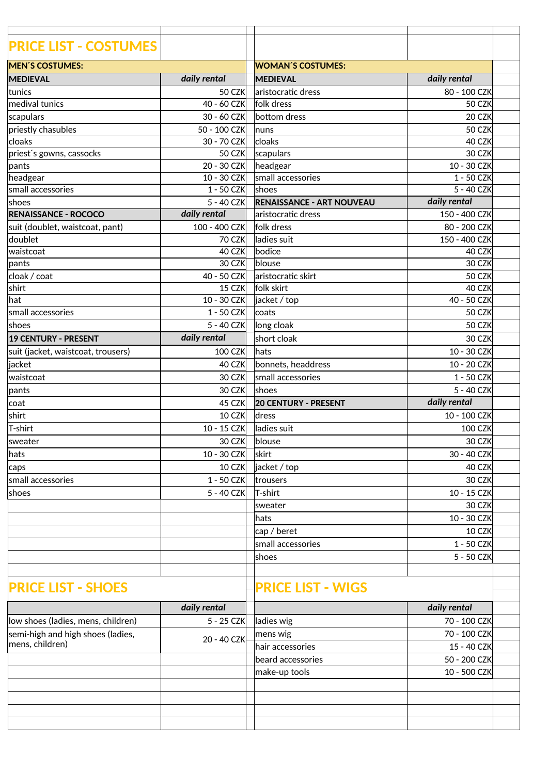| <b>PRICE LIST - COSTUMES</b>       |                            |                                  |                          |  |
|------------------------------------|----------------------------|----------------------------------|--------------------------|--|
| <b>MEN'S COSTUMES:</b>             |                            | <b>WOMAN'S COSTUMES:</b>         |                          |  |
| <b>MEDIEVAL</b>                    | daily rental               | <b>MEDIEVAL</b>                  | daily rental             |  |
| ltunics                            | 50 CZK                     | laristocratic dress              | 80 - 100 CZK             |  |
| medival tunics                     | 40 - 60 CZK                | folk dress                       | 50 CZK                   |  |
| scapulars                          | 30 - 60 CZK                | bottom dress                     | 20 CZK                   |  |
|                                    | 50 - 100 CZK               |                                  | 50 CZK                   |  |
| priestly chasubles<br>cloaks       |                            | <b>Inuns</b><br>cloaks           |                          |  |
| priest's gowns, cassocks           | 30 - 70 CZK<br>50 CZK      | scapulars                        | 40 CZK<br>30 CZK         |  |
|                                    |                            |                                  |                          |  |
| pants                              | 20 - 30 CZK<br>10 - 30 CZK | headgear<br>small accessories    | 10 - 30 CZK              |  |
| headgear<br>small accessories      | $1 - 50$ CZK               | shoes                            | 1 - 50 CZK<br>5 - 40 CZK |  |
|                                    |                            |                                  | daily rental             |  |
| shoes                              | 5 - 40 CZK                 | <b>RENAISSANCE - ART NOUVEAU</b> |                          |  |
| <b>RENAISSANCE - ROCOCO</b>        | daily rental               | aristocratic dress               | 150 - 400 CZK            |  |
| suit (doublet, waistcoat, pant)    | 100 - 400 CZK              | folk dress                       | 80 - 200 CZK             |  |
| doublet                            | 70 CZK                     | ladies suit                      | 150 - 400 CZK            |  |
| waistcoat                          | 40 CZK                     | bodice                           | 40 CZK                   |  |
| pants                              | 30 CZK                     | blouse                           | 30 CZK                   |  |
| cloak / coat                       | 40 - 50 CZK                | aristocratic skirt               | 50 CZK                   |  |
| shirt                              | <b>15 CZK</b>              | folk skirt                       | 40 CZK                   |  |
| hat                                | 10 - 30 CZK                | jacket / top                     | 40 - 50 CZK              |  |
| small accessories                  | $1 - 50$ CZK               | coats                            | 50 CZK                   |  |
| shoes                              | 5 - 40 CZK                 | long cloak                       | 50 CZK                   |  |
| 19 CENTURY - PRESENT               | daily rental               | short cloak                      | 30 CZK                   |  |
| suit (jacket, waistcoat, trousers) | <b>100 CZK</b>             | lhats                            | 10 - 30 CZK              |  |
| jacket                             | 40 CZK                     | bonnets, headdress               | 10 - 20 CZK              |  |
| lwaistcoat                         | 30 CZK                     | small accessories                | 1 - 50 CZK               |  |
| pants                              | 30 CZK                     | <b>Ishoes</b>                    | 5 - 40 CZK               |  |
| coat                               | 45 CZK                     | <b>20 CENTURY - PRESENT</b>      | daily rental             |  |
| shirt                              | 10 CZK                     | dress                            | 10 - 100 CZK             |  |
| T-shirt                            | 10 - 15 CZK                | ladies suit                      | <b>100 CZK</b>           |  |
| sweater                            | 30 CZK                     | blouse                           | 30 CZK                   |  |
| hats                               | 10 - 30 CZK                | skirt                            | 30 - 40 CZK              |  |
|                                    |                            | jacket / top                     | 40 CZK                   |  |
| caps                               | 10 CZK                     |                                  |                          |  |
| small accessories                  | 1 - 50 CZK                 | trousers                         | 30 CZK                   |  |
| shoes                              | 5 - 40 CZK                 | T-shirt                          | 10 - 15 CZK              |  |
|                                    |                            | sweater                          | 30 CZK                   |  |
|                                    |                            | hats                             | 10 - 30 CZK              |  |
|                                    |                            | cap / beret                      | 10 CZK                   |  |
|                                    |                            | small accessories                | 1 - 50 CZK               |  |
|                                    |                            | shoes                            | 5 - 50 CZK               |  |
|                                    |                            |                                  |                          |  |
| <b>PRICE LIST - SHOES</b>          |                            | <b>PRICE LIST - WIGS</b>         |                          |  |
|                                    | daily rental               |                                  | daily rental             |  |
| low shoes (ladies, mens, children) | 5 - 25 CZK                 | ladies wig                       | 70 - 100 CZK             |  |
| semi-high and high shoes (ladies,  |                            | mens wig                         | 70 - 100 CZK             |  |
| mens, children)                    | 20 - 40 CZK                | hair accessories                 | 15 - 40 CZK              |  |
|                                    |                            | beard accessories                | 50 - 200 CZK             |  |
|                                    |                            | make-up tools                    | 10 - 500 CZK             |  |
|                                    |                            |                                  |                          |  |
|                                    |                            |                                  |                          |  |
|                                    |                            |                                  |                          |  |
|                                    |                            |                                  |                          |  |
|                                    |                            |                                  |                          |  |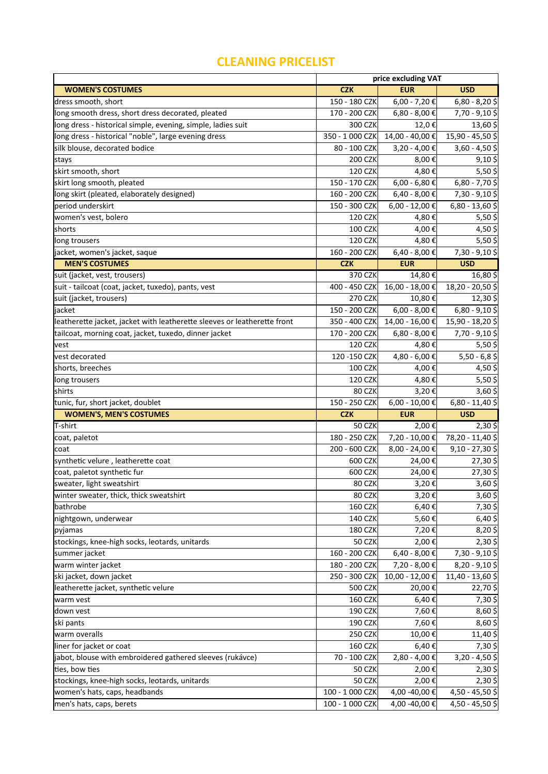## **CLEANING PRICELIST**

|                                                                          | price excluding VAT |                     |                                  |
|--------------------------------------------------------------------------|---------------------|---------------------|----------------------------------|
| <b>WOMEN'S COSTUMES</b>                                                  | <b>CZK</b>          | <b>EUR</b>          | <b>USD</b>                       |
| dress smooth, short                                                      | 150 - 180 CZK       | $6,00 - 7,20$ €     | $6,80 - 8,20$ \$                 |
| long smooth dress, short dress decorated, pleated                        | 170 - 200 CZK       | 6,80 - 8,00 €       | $7,70 - 9,10$ \$                 |
| long dress - historical simple, evening, simple, ladies suit             | 300 CZK             | 12,0 €              | 13,60\$                          |
| long dress - historical "noble", large evening dress                     | 350 - 1 000 CZK     | 14,00 - 40,00 €     | 15,90 - 45,50 \$                 |
| silk blouse, decorated bodice                                            | 80 - 100 CZK        | 3,20 - 4,00 €       | $3,60 - 4,50$ \$                 |
| stays                                                                    | 200 CZK             | 8,00€               | $9,10$ \$                        |
| skirt smooth, short                                                      | <b>120 CZK</b>      | 4,80€               | $5,50$ \$                        |
| skirt long smooth, pleated                                               | 150 - 170 CZK       | $6,00 - 6,80 \in$   | $6,80 - 7,70$ \$                 |
| long skirt (pleated, elaborately designed)                               | 160 - 200 CZK       | 6,40 - 8,00 €       | 7,30 - 9,10 \$                   |
| period underskirt                                                        | 150 - 300 CZK       | 6,00 - 12,00 €      | 6,80 - 13,60 \$                  |
| women's vest, bolero                                                     | <b>120 CZK</b>      | 4,80€               | $5,50$ \$                        |
| shorts                                                                   | <b>100 CZK</b>      | 4,00€               | 4,50\$                           |
| long trousers                                                            | <b>120 CZK</b>      | 4,80€               | $5,50$ \$                        |
| jacket, women's jacket, saque                                            | 160 - 200 CZK       | 6,40 - 8,00 €       | 7,30 - 9,10 \$                   |
| <b>MEN'S COSTUMES</b>                                                    | <b>CZK</b>          | <b>EUR</b>          | <b>USD</b>                       |
| suit (jacket, vest, trousers)                                            | 370 CZK             | 14,80€              | 16,80\$                          |
| suit - tailcoat (coat, jacket, tuxedo), pants, vest                      | 400 - 450 CZK       | 16,00 - 18,00 €     | 18,20 - 20,50 \$                 |
| suit (jacket, trousers)                                                  | 270 CZK             | 10,80€              | 12,30\$                          |
| jacket                                                                   | 150 - 200 CZK       | $6,00 - 8,00 \in$   | $6,80 - 9,10$ \$                 |
| leatherette jacket, jacket with leatherette sleeves or leatherette front | 350 - 400 CZK       | 14,00 - 16,00 €     | 15,90 - 18,20 \$                 |
| tailcoat, morning coat, jacket, tuxedo, dinner jacket                    | 170 - 200 CZK       | 6,80 - 8,00 €       | 7,70 - 9,10 \$                   |
| vest                                                                     | <b>120 CZK</b>      | 4,80€               | $5,50$ \$                        |
| vest decorated                                                           | 120 - 150 CZK       | 4,80 - 6,00 €       | $5,50 - 6,8$ \$                  |
| shorts, breeches                                                         | <b>100 CZK</b>      | 4,00€               | 4,50\$                           |
| long trousers                                                            | <b>120 CZK</b>      | 4,80€               | $5,50$ \$                        |
|                                                                          |                     |                     |                                  |
| shirts                                                                   | 80 CZK              | 3,20€               |                                  |
| tunic, fur, short jacket, doublet                                        | 150 - 250 CZK       | 6,00 - 10,00 €      | $3,60$ \$<br>$6,80 - 11,40$ \$   |
| <b>WOMEN'S, MEN'S COSTUMES</b>                                           | <b>CZK</b>          | <b>EUR</b>          | <b>USD</b>                       |
| T-shirt                                                                  | 50 CZK              | 2,00€               | $2,30$ \$                        |
| coat, paletot                                                            | 180 - 250 CZK       | 7,20 - 10,00 €      | 78,20 - 11,40 \$                 |
| lcoat                                                                    | $200 - 600$ CZK     | 8,00 - 24,00 €      | $9,10 - 27,30$ \$                |
| synthetic velure, leatherette coat                                       | 600 CZK             | 24,00€              |                                  |
| coat, paletot synthetic fur                                              | 600 CZK             | 24,00€              |                                  |
| sweater, light sweatshirt                                                | 80 CZK              | 3,20€               | 27,30\$<br>27,30\$<br>$3,60$ \$  |
| winter sweater, thick, thick sweatshirt                                  | 80 CZK              | 3,20€               |                                  |
| bathrobe                                                                 | <b>160 CZK</b>      | 6,40€               |                                  |
| nightgown, underwear                                                     | <b>140 CZK</b>      | 5,60€               | $3,60$ \$<br>7,30\$<br>$6,40$ \$ |
| pyjamas                                                                  | <b>180 CZK</b>      | 7,20€               | 8,20\$                           |
| stockings, knee-high socks, leotards, unitards                           | 50 CZK              | 2,00€               | $2,30$ \$                        |
| summer jacket                                                            | 160 - 200 CZK       | $6,40 - 8,00 \in$   | 7,30 - 9,10 \$                   |
| warm winter jacket                                                       | 180 - 200 CZK       | 7,20 - 8,00 €       | 8,20 - 9,10 \$                   |
| ski jacket, down jacket                                                  | 250 - 300 CZK       | $10,00 - 12,00 \in$ |                                  |
| leatherette jacket, synthetic velure                                     | <b>500 CZK</b>      | 20,00 €             | 11,40 - 13,60 \$<br>22,70\$      |
| warm vest                                                                | <b>160 CZK</b>      | 6,40€               | 7,30\$                           |
| down vest                                                                | 190 CZK             | 7,60€               | 8,60\$                           |
| ski pants                                                                | <b>190 CZK</b>      | 7,60€               |                                  |
| warm overalls                                                            | 250 CZK             | 10,00€              |                                  |
| liner for jacket or coat                                                 | <b>160 CZK</b>      | 6,40€               | 8,60\$<br>11,40\$<br>7,30\$      |
| jabot, blouse with embroidered gathered sleeves (rukávce)                | 70 - 100 CZK        | 2,80 - 4,00 €       | 3,20 - 4,50 \$                   |
| ties, bow ties                                                           | 50 CZK              | 2,00€               | $2,30$ \$                        |
| stockings, knee-high socks, leotards, unitards                           | <b>50 CZK</b>       | 2,00€               | 2,30\$                           |
| women's hats, caps, headbands                                            | 100 - 1 000 CZK     | 4,00 -40,00 €       | 4,50 - 45,50 \$                  |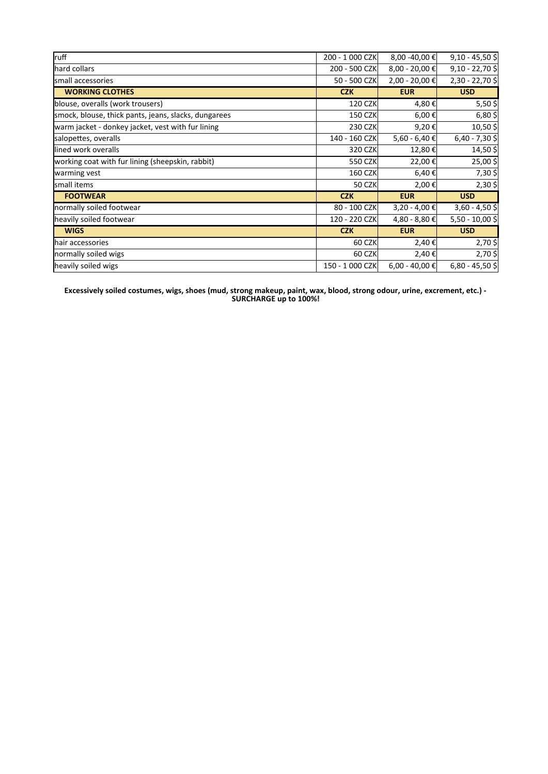| ruff                                                 | 200 - 1 000 CZK | $8,00 - 40,00 \in$ | $9,10 - 45,50$ \$ |
|------------------------------------------------------|-----------------|--------------------|-------------------|
| hard collars                                         | 200 - 500 CZK   | $8,00 - 20,00$ €   | $9,10 - 22,70$ \$ |
| lsmall accessories                                   | 50 - 500 CZK    | 2,00 - 20,00 €     | 2,30 - 22,70 \$   |
| <b>WORKING CLOTHES</b>                               | <b>CZK</b>      | <b>EUR</b>         | <b>USD</b>        |
| blouse, overalls (work trousers)                     | <b>120 CZK</b>  | 4,80€              | $5,50$ \$         |
| smock, blouse, thick pants, jeans, slacks, dungarees | <b>150 CZK</b>  | 6,00 €             | $6,80$ \$         |
| warm jacket - donkey jacket, vest with fur lining    | 230 CZK         | 9,20€              | 10,50\$           |
| salopettes, overalls                                 | 140 - 160 CZK   | 5,60 - 6,40 €      | $6,40 - 7,30$ \$  |
| llined work overalls                                 | 320 CZK         | 12,80 €            | 14,50 \$          |
| working coat with fur lining (sheepskin, rabbit)     | 550 CZK         | 22,00 €            | 25,00\$           |
| warming vest                                         | <b>160 CZK</b>  | 6,40 €             | 7,30\$            |
| small items                                          | <b>50 CZK</b>   | 2,00 €             | $2,30$ \$         |
| <b>FOOTWEAR</b>                                      | <b>CZK</b>      | <b>EUR</b>         | <b>USD</b>        |
| normally soiled footwear                             | 80 - 100 CZK    | 3,20 - 4,00 €      | $3,60 - 4,50$ \$  |
| heavily soiled footwear                              | 120 - 220 CZK   | 4,80 - 8,80 €      | 5,50 - 10,00 \$   |
| <b>WIGS</b>                                          | <b>CZK</b>      | <b>EUR</b>         | <b>USD</b>        |
| hair accessories                                     | 60 CZK          | 2,40 €             | 2,70\$            |
| normally soiled wigs                                 | 60 CZK          | 2,40 €             | $2,70$ \$         |
| heavily soiled wigs                                  | 150 - 1 000 CZK | $6,00 - 40,00$ €   | $6,80 - 45,50$ \$ |

**Excessively soiled costumes, wigs, shoes (mud, strong makeup, paint, wax, blood, strong odour, urine, excrement, etc.) - SURCHARGE up to 100%!**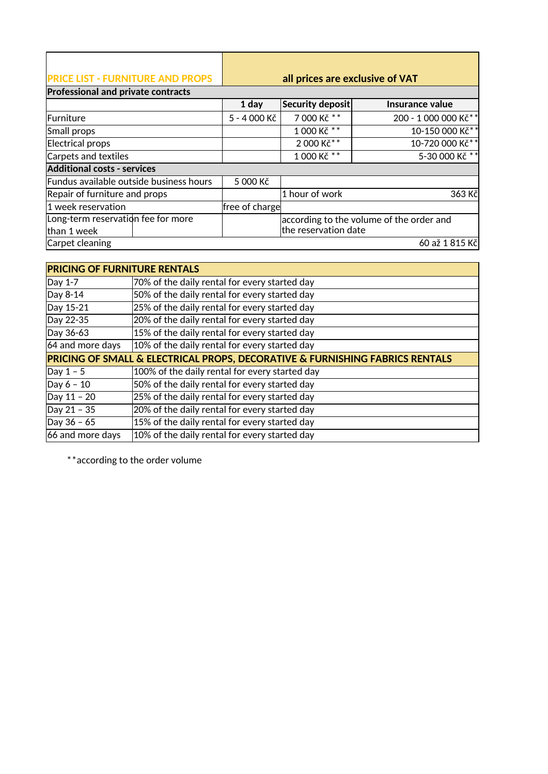| <b>IPRICE LIST - FURNITURE AND PROPS</b>  | all prices are exclusive of VAT |
|-------------------------------------------|---------------------------------|
| <b>Professional and private contracts</b> |                                 |

|                                         | 1 day          | Security deposit     | Insurance value                          |
|-----------------------------------------|----------------|----------------------|------------------------------------------|
| Furniture                               | 5 - 4 000 Kč   | 7 000 Kč **          | 200 - 1 000 000 Kč**                     |
| Small props                             |                | 1 000 Kč **          | 10-150 000 Kč**                          |
| Electrical props                        |                | 2 000 Kč**           | 10-720 000 Kč**                          |
| Carpets and textiles                    |                | 1 000 Kč **          | 5-30 000 Kč **                           |
| <b>Additional costs - services</b>      |                |                      |                                          |
| Fundus available outside business hours | 5 000 Kč       |                      |                                          |
| Repair of furniture and props           |                | 1 hour of work       | 363 Kč                                   |
| 1 week reservation                      | free of charge |                      |                                          |
| Long-term reservation fee for more      |                |                      | according to the volume of the order and |
| than 1 week                             |                | the reservation date |                                          |
| Carpet cleaning                         |                |                      | 60 až 1815 Kč                            |

| <b>PRICING OF FURNITURE RENTALS</b> |                                                                              |  |  |  |
|-------------------------------------|------------------------------------------------------------------------------|--|--|--|
| Day 1-7                             | 70% of the daily rental for every started day                                |  |  |  |
| Day 8-14                            | 50% of the daily rental for every started day                                |  |  |  |
| Day 15-21                           | 25% of the daily rental for every started day                                |  |  |  |
| Day 22-35                           | 20% of the daily rental for every started day                                |  |  |  |
| Day 36-63                           | 15% of the daily rental for every started day                                |  |  |  |
| 64 and more days                    | 10% of the daily rental for every started day                                |  |  |  |
|                                     | PRICING OF SMALL & ELECTRICAL PROPS, DECORATIVE & FURNISHING FABRICS RENTALS |  |  |  |
| Day $1 - 5$                         | 100% of the daily rental for every started day                               |  |  |  |
| $\log 6 - 10$                       | 50% of the daily rental for every started day                                |  |  |  |
| Day 11 - 20                         | 25% of the daily rental for every started day                                |  |  |  |
| Day 21 - 35                         | 20% of the daily rental for every started day                                |  |  |  |
| Day 36 - 65                         | 15% of the daily rental for every started day                                |  |  |  |
| 66 and more days                    | 10% of the daily rental for every started day                                |  |  |  |

\*\*according to the order volume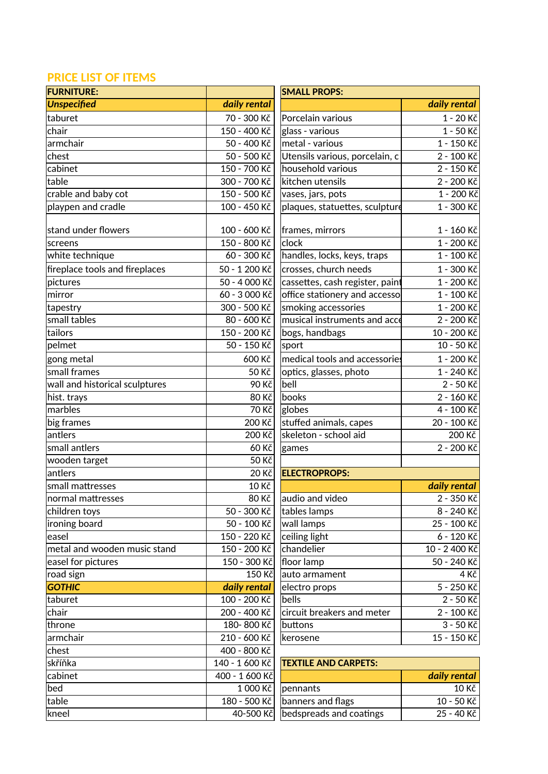## **PRICE LIST OF ITEMS**

| <b>FURNITURE:</b>              |                 | <b>SMALL PROPS:</b>             |                      |
|--------------------------------|-----------------|---------------------------------|----------------------|
| <b>Unspecified</b>             | daily rental    |                                 | daily rental         |
| taburet                        | 70 - 300 Kč     | Porcelain various               | 1 - 20 Kč            |
| chair                          | 150 - 400 Kč    | glass - various                 | 1 - 50 Kč            |
| armchair                       | 50 - 400 Kč     | metal - various                 | 1 - 150 Kč           |
| chest                          | 50 - 500 Kč     | Utensils various, porcelain, c  | 2 - 100 Kč           |
| cabinet                        | 150 - 700 Kč    | household various               | 2 - 150 Kč           |
| table                          | 300 - 700 Kč    | kitchen utensils                | 2 - 200 Kč           |
| crable and baby cot            | 150 - 500 Kč    | vases, jars, pots               | 1 - 200 Kč           |
| playpen and cradle             | 100 - 450 Kč    | plaques, statuettes, sculpture  | $1 - 300 K\check{c}$ |
| stand under flowers            | 100 - 600 Kč    | frames, mirrors                 | 1 - 160 Kč           |
| screens                        | 150 - 800 Kč    | clock                           | 1 - 200 Kč           |
| white technique                | 60 - 300 Kč     | handles, locks, keys, traps     | 1 - 100 Kč           |
| fireplace tools and fireplaces | 50 - 1 200 Kč   | crosses, church needs           | 1 - 300 Kč           |
| pictures                       | 50 - 4 000 Kč   | cassettes, cash register, paint | $1 - 200K\check{c}$  |
| mirror                         | 60 - 3000 Kč    | office stationery and accesso   | 1 - 100 Kč           |
| tapestry                       | 300 - 500 Kč    | smoking accessories             | 1 - 200 Kč           |
| small tables                   | 80 - 600 Kč     | musical instruments and acce    | 2 - 200 Kč           |
| tailors                        | 150 - 200 Kč    | bogs, handbags                  | 10 - 200 Kč          |
| pelmet                         | 50 - 150 Kč     | sport                           | 10 - 50 Kč           |
| gong metal                     | 600 Kč          | medical tools and accessories   | 1 - 200 Kč           |
| small frames                   | 50 Kč           | optics, glasses, photo          | 1 - 240 Kč           |
| wall and historical sculptures | 90 Kč           | bell                            | 2 - 50 Kč            |
| hist. trays                    | <b>80 Kč</b>    | books                           | 2 - 160 Kč           |
| marbles                        | 70 Kč           | globes                          | 4 - 100 Kč           |
| big frames                     | 200 Kč          | stuffed animals, capes          | 20 - 100 Kč          |
| antlers                        | 200 Kč          | skeleton - school aid           | 200 Kč               |
| small antlers                  | 60 Kč           | games                           | 2 - 200 Kč           |
| wooden target                  | <b>50 Kč</b>    |                                 |                      |
| antlers                        | 20 Kč           | <b>ELECTROPROPS:</b>            |                      |
| small mattresses               | 10 Kč           |                                 | daily rental         |
| normal mattresses              | $80 K\check{c}$ | audio and video                 | 2 - 350 Kč           |
| children toys                  | 50 - 300 Kč     | tables lamps                    | 8 - 240 Kč           |
| ironing board                  | 50 - 100 Kč     | wall lamps                      | 25 - 100 Kč          |
| easel                          | 150 - 220 Kč    | ceiling light                   | 6 - 120 Kč           |
| metal and wooden music stand   | 150 - 200 Kč    | chandelier                      | 10 - 2 400 Kč        |
| easel for pictures             | 150 - 300 Kč    | floor lamp                      | 50 - 240 Kč          |
| road sign                      | 150 Kč          | auto armament                   | 4 Kč                 |
| <b>GOTHIC</b>                  | daily rental    | electro props                   | 5 - 250 Kč           |
| taburet                        | 100 - 200 Kč    | bells                           | 2 - 50 Kč            |
| chair                          | 200 - 400 Kč    | circuit breakers and meter      | 2 - 100 Kč           |
| throne                         | 180-800 Kč      | buttons                         | 3 - 50 Kč            |
| armchair                       | 210 - 600 Kč    | kerosene                        | 15 - 150 Kč          |
| chest                          | 400 - 800 Kč    |                                 |                      |
| skříňka                        | 140 - 1600 Kč   | <b>TEXTILE AND CARPETS:</b>     |                      |
| cabinet                        | 400 - 1 600 Kč  |                                 | daily rental         |
| bed                            | 1 000 Kč        | pennants                        | 10 Kč                |
| table                          | 180 - 500 Kč    | banners and flags               | 10 - 50 Kč           |
| kneel                          | 40-500 Kč       | bedspreads and coatings         | 25 - 40 Kč           |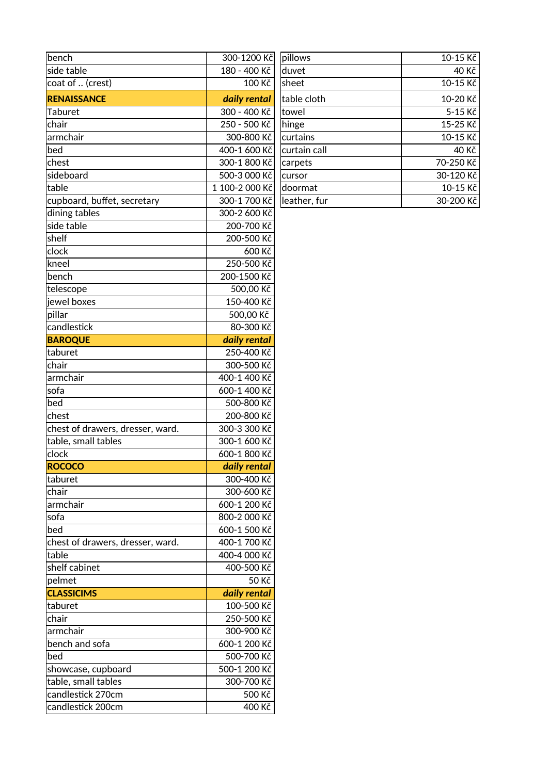| bench                            | 300-1200 Kč    | pillows      | 10-15 Kč  |
|----------------------------------|----------------|--------------|-----------|
| side table                       | 180 - 400 Kč   | duvet        | 40 Kč     |
| coat of  (crest)                 | 100 Kč         | sheet        | 10-15 Kč  |
| <b>RENAISSANCE</b>               | daily rental   | table cloth  | 10-20 Kč  |
| Taburet                          | 300 - 400 Kč   | towel        | 5-15 Kč   |
| chair                            | 250 - 500 Kč   | hinge        | 15-25 Kč  |
| armchair                         | 300-800 Kč     | curtains     | 10-15 Kč  |
| bed                              | 400-1 600 Kč   | curtain call | 40 Kč     |
| chest                            | 300-1 800 Kč   | carpets      | 70-250 Kč |
| sideboard                        | 500-3 000 Kč   | cursor       | 30-120 Kč |
| table                            | 1 100-2 000 Kč | doormat      | 10-15 Kč  |
| cupboard, buffet, secretary      | 300-1700 Kč    | leather, fur | 30-200 Kč |
| dining tables                    | 300-2 600 Kč   |              |           |
| side table                       | 200-700 Kč     |              |           |
| shelf                            | 200-500 Kč     |              |           |
| clock                            | 600 Kč         |              |           |
| kneel                            | 250-500 Kč     |              |           |
| bench                            | 200-1500 Kč    |              |           |
| telescope                        | 500,00 Kč      |              |           |
| jewel boxes                      | 150-400 Kč     |              |           |
| pillar                           | 500,00 Kč      |              |           |
| candlestick                      | 80-300 Kč      |              |           |
| <b>BAROQUE</b>                   | daily rental   |              |           |
| taburet                          | 250-400 Kč     |              |           |
| chair                            | 300-500 Kč     |              |           |
| armchair                         | 400-1 400 Kč   |              |           |
| sofa                             | 600-1 400 Kč   |              |           |
| bed                              | 500-800 Kč     |              |           |
| chest                            | 200-800 Kč     |              |           |
| chest of drawers, dresser, ward. | 300-3 300 Kč   |              |           |
| table, small tables              | 300-1 600 Kč   |              |           |
| clock                            | 600-1 800 Kč   |              |           |
| <b>ROCOCO</b>                    | daily rental   |              |           |
| taburet                          | 300-400 Kč     |              |           |
| chair                            | 300-600 Kč     |              |           |
| armchair                         | 600-1 200 Kč   |              |           |
| sofa                             | 800-2 000 Kč   |              |           |
| bed                              | 600-1 500 Kč   |              |           |
| chest of drawers, dresser, ward. | 400-1 700 Kč   |              |           |
| table                            | 400-4 000 Kč   |              |           |
| shelf cabinet                    | 400-500 Kč     |              |           |
| pelmet                           | 50 Kč          |              |           |
| <b>CLASSICIMS</b>                | daily rental   |              |           |
| taburet                          | 100-500 Kč     |              |           |
| chair                            | 250-500 Kč     |              |           |
| armchair                         | 300-900 Kč     |              |           |
| bench and sofa                   | 600-1 200 Kč   |              |           |
| bed                              | 500-700 Kč     |              |           |
| showcase, cupboard               | 500-1 200 Kč   |              |           |
| table, small tables              | 300-700 Kč     |              |           |
| candlestick 270cm                | 500 Kč         |              |           |
| candlestick 200cm                | 400 Kč         |              |           |

| pillows      | 10-15 Kč    |
|--------------|-------------|
| duvet        | 40 Kč       |
| sheet        | 10-15 Kč    |
| table cloth  | 10-20 Kč    |
| towel        | $5 - 15$ Kč |
| hinge        | 15-25 Kč    |
| curtains     | 10-15 Kč    |
| curtain call | 40 Kč       |
| carpets      | 70-250 Kč   |
| cursor       | 30-120 Kč   |
| doormat      | 10-15 Kč    |
| leather, fur | 30-200 Kč   |
|              |             |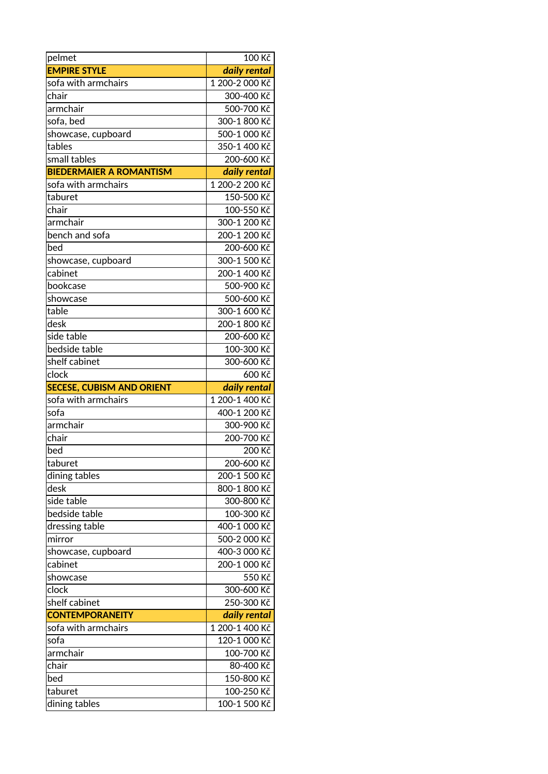| pelmet                           | 100 Kč                     |
|----------------------------------|----------------------------|
| <b>EMPIRE STYLE</b>              | daily rental               |
| sofa with armchairs              | 1 200-2 000 Kč             |
| chair                            | 300-400 Kč                 |
| armchair                         | 500-700 Kč                 |
| sofa, bed                        | 300-1 800 Kč               |
| showcase, cupboard               | 500-1 000 Kč               |
| tables                           | 350-1 400 Kč               |
| small tables                     | 200-600 Kč                 |
| <b>BIEDERMAIER A ROMANTISM</b>   | daily rental               |
| sofa with armchairs              | 1 200-2 200 Kč             |
| taburet                          | 150-500 Kč                 |
| chair                            | 100-550 Kč                 |
| armchair                         | 300-1 200 Kč               |
| bench and sofa                   | 200-1 200 Kč               |
| bed                              | 200-600 Kč                 |
| showcase, cupboard               | 300-1 500 Kč               |
| cabinet                          | 200-1 400 Kč               |
| bookcase                         | 500-900 Kč                 |
| showcase                         | 500-600 Kč                 |
| table                            | 300-1 600 Kč               |
| desk                             | 200-1 800 Kč               |
| side table                       | 200-600 Kč                 |
| bedside table                    | 100-300 Kč                 |
| shelf cabinet                    | 300-600 Kč                 |
| clock                            | 600 Kč                     |
|                                  |                            |
| <b>SECESE, CUBISM AND ORIENT</b> | daily rental               |
| sofa with armchairs              | 1 200-1 400 Kč             |
| sofa                             | 400-1 200 Kč               |
| armchair                         | 300-900 Kč                 |
| chair                            | 200-700 Kč                 |
| bed                              | 200 Kč                     |
| taburet                          | 200-600 Kč                 |
| dining tables                    | 200-1 500 Kč               |
| desk                             | 800-1 800 Kč               |
| side table                       | 300-800 Kč                 |
| bedside table                    | 100-300 Kč                 |
| dressing table                   | 400-1 000 Kč               |
| mirror                           | 500-2 000 Kč               |
| showcase, cupboard               | 400-3 000 Kč               |
| cabinet                          | 200-1 000 Kč               |
| showcase                         | 550 Kč                     |
| clock                            | 300-600 Kč                 |
| shelf cabinet                    | 250-300 Kč                 |
| <b>CONTEMPORANEITY</b>           | daily rental               |
| sofa with armchairs              | 1 200-1 400 Kč             |
| sofa                             | 120-1 000 Kč               |
| armchair                         | 100-700 Kč                 |
| chair                            | 80-400 Kč                  |
| bed                              | 150-800 Kč                 |
| taburet<br>dining tables         | 100-250 Kč<br>100-1 500 Kč |